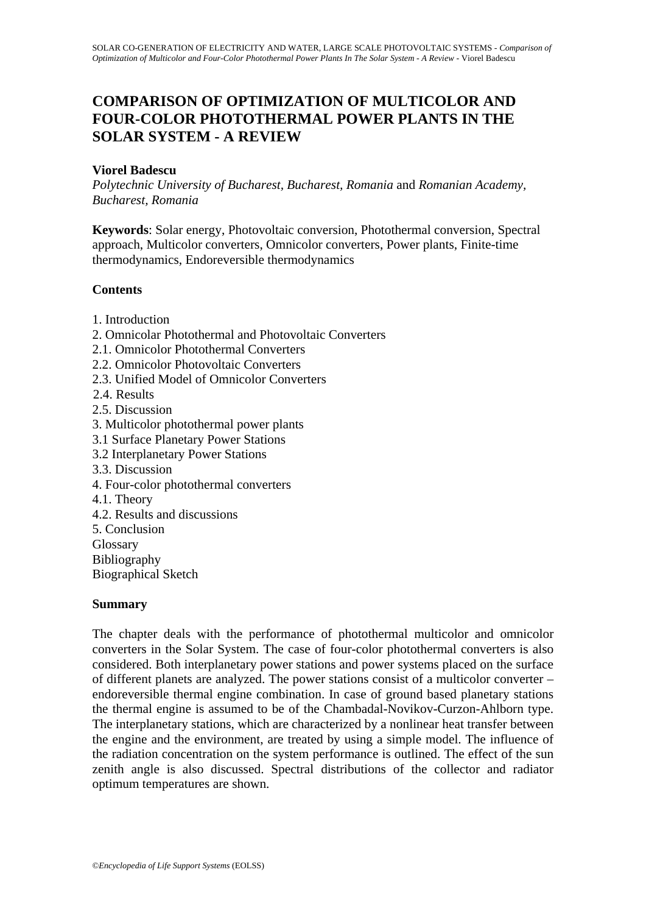# **COMPARISON OF OPTIMIZATION OF MULTICOLOR AND FOUR-COLOR PHOTOTHERMAL POWER PLANTS IN THE SOLAR SYSTEM - A REVIEW**

## **Viorel Badescu**

*Polytechnic University of Bucharest, Bucharest, Romania* and *Romanian Academy, Bucharest, Romania* 

**Keywords**: Solar energy, Photovoltaic conversion, Photothermal conversion, Spectral approach, Multicolor converters, Omnicolor converters, Power plants, Finite-time thermodynamics, Endoreversible thermodynamics

# **Contents**

- 1. Introduction
- 2. Omnicolar Photothermal and Photovoltaic Converters
- 2.1. Omnicolor Photothermal Converters
- 2.2. Omnicolor Photovoltaic Converters
- 2.3. Unified Model of Omnicolor Converters
- 2.4. Results
- 2.5. Discussion
- 3. Multicolor photothermal power plants
- 3.1 Surface Planetary Power Stations
- 3.2 Interplanetary Power Stations
- 3.3. Discussion
- 4. Four-color photothermal converters
- 4.1. Theory
- 4.2. Results and discussions
- 5. Conclusion
- **Glossary**
- Bibliography
- Biographical Sketch

### **Summary**

The chapter deals with the performance of photothermal multicolor and omnicolor converters in the Solar System. The case of four-color photothermal converters is also considered. Both interplanetary power stations and power systems placed on the surface of different planets are analyzed. The power stations consist of a multicolor converter – endoreversible thermal engine combination. In case of ground based planetary stations the thermal engine is assumed to be of the Chambadal-Novikov-Curzon-Ahlborn type. The interplanetary stations, which are characterized by a nonlinear heat transfer between the engine and the environment, are treated by using a simple model. The influence of the radiation concentration on the system performance is outlined. The effect of the sun zenith angle is also discussed. Spectral distributions of the collector and radiator optimum temperatures are shown.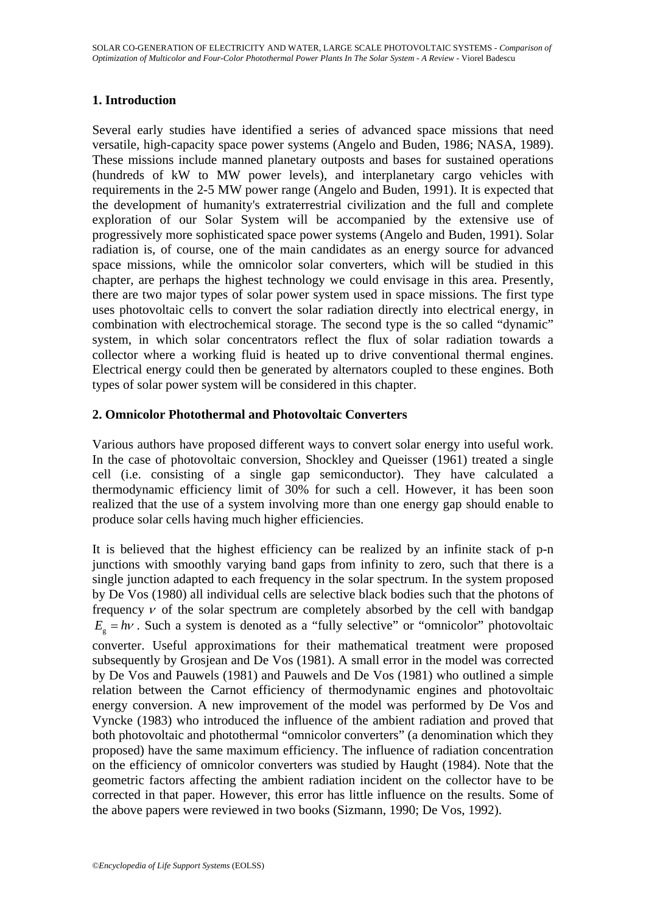# **1. Introduction**

Several early studies have identified a series of advanced space missions that need versatile, high-capacity space power systems (Angelo and Buden, 1986; NASA, 1989). These missions include manned planetary outposts and bases for sustained operations (hundreds of kW to MW power levels), and interplanetary cargo vehicles with requirements in the 2-5 MW power range (Angelo and Buden, 1991). It is expected that the development of humanity's extraterrestrial civilization and the full and complete exploration of our Solar System will be accompanied by the extensive use of progressively more sophisticated space power systems (Angelo and Buden, 1991). Solar radiation is, of course, one of the main candidates as an energy source for advanced space missions, while the omnicolor solar converters, which will be studied in this chapter, are perhaps the highest technology we could envisage in this area. Presently, there are two major types of solar power system used in space missions. The first type uses photovoltaic cells to convert the solar radiation directly into electrical energy, in combination with electrochemical storage. The second type is the so called "dynamic" system, in which solar concentrators reflect the flux of solar radiation towards a collector where a working fluid is heated up to drive conventional thermal engines. Electrical energy could then be generated by alternators coupled to these engines. Both types of solar power system will be considered in this chapter.

# **2. Omnicolor Photothermal and Photovoltaic Converters**

Various authors have proposed different ways to convert solar energy into useful work. In the case of photovoltaic conversion, Shockley and Queisser (1961) treated a single cell (i.e. consisting of a single gap semiconductor). They have calculated a thermodynamic efficiency limit of 30% for such a cell. However, it has been soon realized that the use of a system involving more than one energy gap should enable to produce solar cells having much higher efficiencies.

It is believed that the highest efficiency can be realized by an infinite stack of p-n junctions with smoothly varying band gaps from infinity to zero, such that there is a single junction adapted to each frequency in the solar spectrum. In the system proposed by De Vos (1980) all individual cells are selective black bodies such that the photons of frequency  $v$  of the solar spectrum are completely absorbed by the cell with bandgap  $E<sub>s</sub> = h\nu$ . Such a system is denoted as a "fully selective" or "omnicolor" photovoltaic converter. Useful approximations for their mathematical treatment were proposed subsequently by Grosjean and De Vos (1981). A small error in the model was corrected by De Vos and Pauwels (1981) and Pauwels and De Vos (1981) who outlined a simple relation between the Carnot efficiency of thermodynamic engines and photovoltaic energy conversion. A new improvement of the model was performed by De Vos and Vyncke (1983) who introduced the influence of the ambient radiation and proved that both photovoltaic and photothermal "omnicolor converters" (a denomination which they proposed) have the same maximum efficiency. The influence of radiation concentration on the efficiency of omnicolor converters was studied by Haught (1984). Note that the geometric factors affecting the ambient radiation incident on the collector have to be corrected in that paper. However, this error has little influence on the results. Some of the above papers were reviewed in two books (Sizmann, 1990; De Vos, 1992).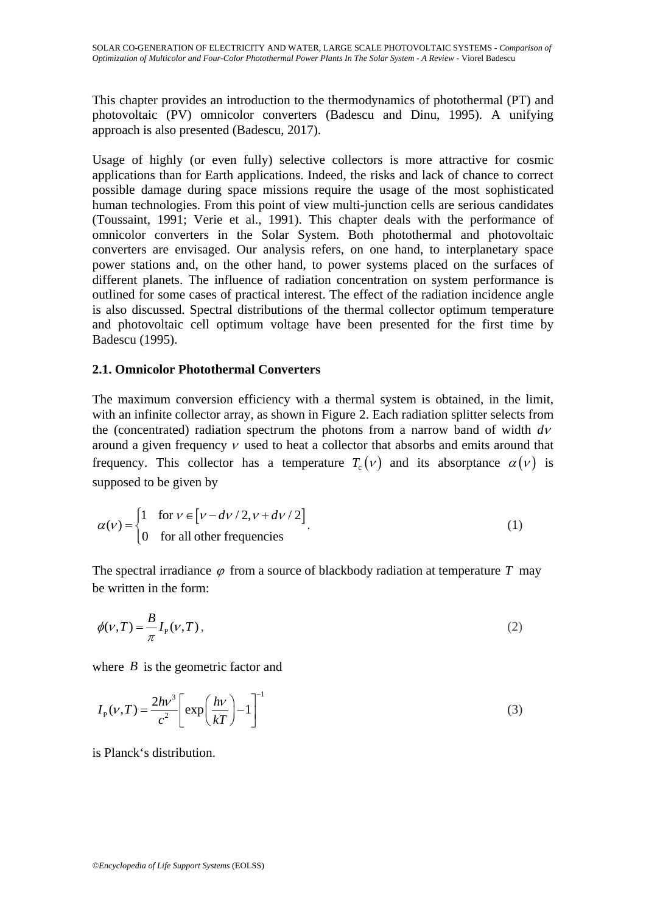This chapter provides an introduction to the thermodynamics of photothermal (PT) and photovoltaic (PV) omnicolor converters (Badescu and Dinu, 1995). A unifying approach is also presented (Badescu, 2017).

Usage of highly (or even fully) selective collectors is more attractive for cosmic applications than for Earth applications. Indeed, the risks and lack of chance to correct possible damage during space missions require the usage of the most sophisticated human technologies. From this point of view multi-junction cells are serious candidates (Toussaint, 1991; Verie et al., 1991). This chapter deals with the performance of omnicolor converters in the Solar System. Both photothermal and photovoltaic converters are envisaged. Our analysis refers, on one hand, to interplanetary space power stations and, on the other hand, to power systems placed on the surfaces of different planets. The influence of radiation concentration on system performance is outlined for some cases of practical interest. The effect of the radiation incidence angle is also discussed. Spectral distributions of the thermal collector optimum temperature and photovoltaic cell optimum voltage have been presented for the first time by Badescu (1995).

### **2.1. Omnicolor Photothermal Converters**

The maximum conversion efficiency with a thermal system is obtained, in the limit, with an infinite collector array, as shown in Figure 2. Each radiation splitter selects from the (concentrated) radiation spectrum the photons from a narrow band of width *d*<sup>ν</sup> around a given frequency  $\nu$  used to heat a collector that absorbs and emits around that frequency. This collector has a temperature  $T_c(v)$  and its absorptance  $\alpha(v)$  is supposed to be given by

$$
\alpha(v) = \begin{cases} 1 & \text{for } v \in [v - dv/2, v + dv/2] \\ 0 & \text{for all other frequencies} \end{cases}
$$
 (1)

The spectral irradiance  $\varphi$  from a source of blackbody radiation at temperature *T* may be written in the form:

$$
\phi(\nu, T) = \frac{B}{\pi} I_{\mathcal{P}}(\nu, T),\tag{2}
$$

where *B* is the geometric factor and

$$
I_{\rm p}(\nu, T) = \frac{2h\nu^3}{c^2} \left[ \exp\left(\frac{h\nu}{kT}\right) - 1 \right]^{-1} \tag{3}
$$

is Planck's distribution.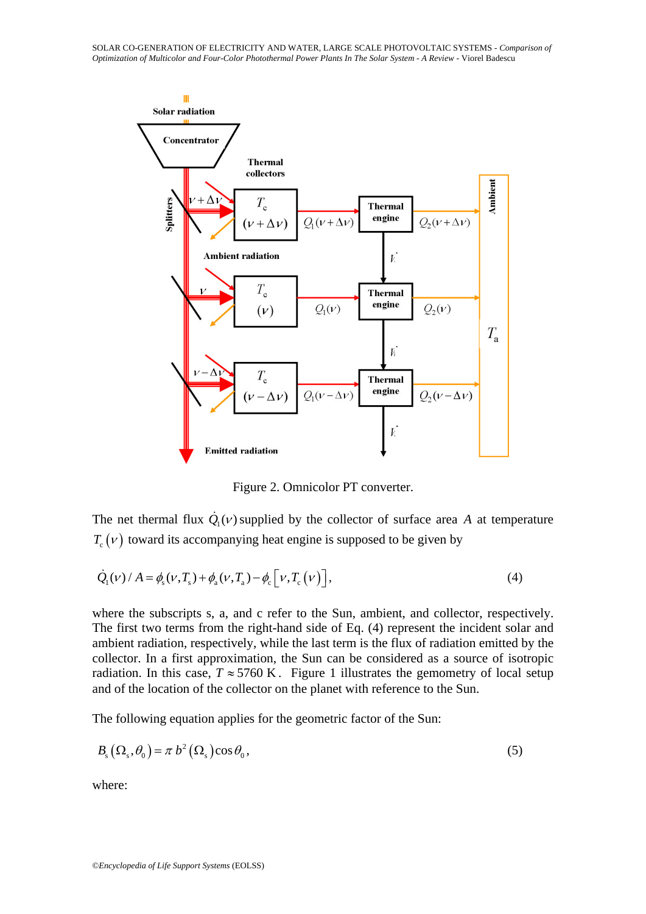

Figure 2. Omnicolor PT converter.

The net thermal flux  $\dot{Q}_1(v)$  supplied by the collector of surface area *A* at temperature  $T_c(v)$  toward its accompanying heat engine is supposed to be given by

$$
\dot{Q}_1(\nu) / A = \phi_s(\nu, T_s) + \phi_a(\nu, T_a) - \phi_c[\nu, T_c(\nu)],
$$
\n(4)

where the subscripts s, a, and c refer to the Sun, ambient, and collector, respectively. The first two terms from the right-hand side of Eq. (4) represent the incident solar and ambient radiation, respectively, while the last term is the flux of radiation emitted by the collector. In a first approximation, the Sun can be considered as a source of isotropic radiation. In this case,  $T \approx 5760 \text{ K}$ . Figure 1 illustrates the gemometry of local setup and of the location of the collector on the planet with reference to the Sun.

The following equation applies for the geometric factor of the Sun:

$$
B_{\rm s}(\Omega_{\rm s}, \theta_{\rm 0}) = \pi b^2 (\Omega_{\rm s}) \cos \theta_{\rm 0},\tag{5}
$$

where: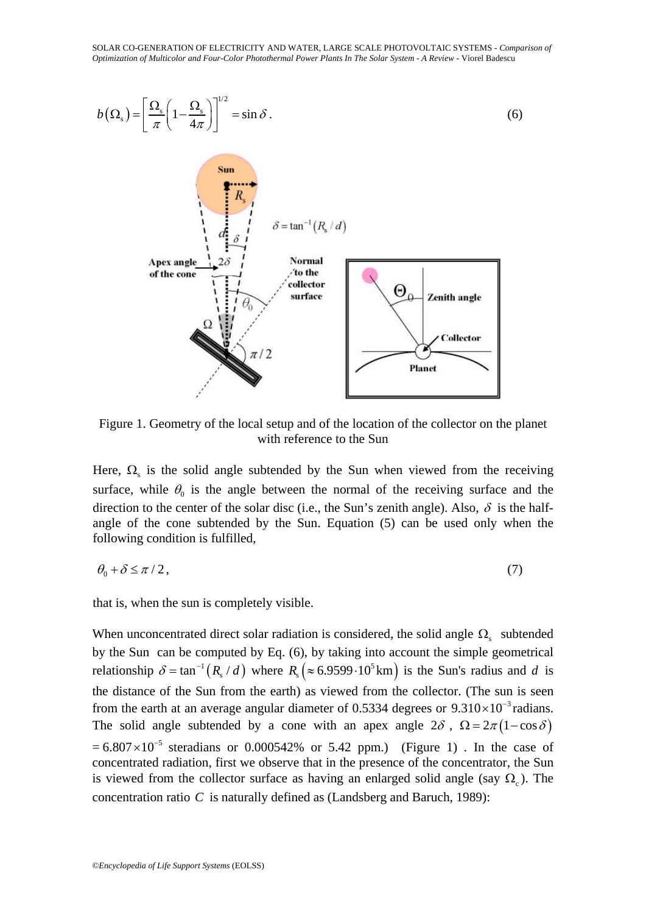

Figure 1. Geometry of the local setup and of the location of the collector on the planet with reference to the Sun

Here,  $\Omega$ , is the solid angle subtended by the Sun when viewed from the receiving surface, while  $\theta_0$  is the angle between the normal of the receiving surface and the direction to the center of the solar disc (i.e., the Sun's zenith angle). Also,  $\delta$  is the halfangle of the cone subtended by the Sun. Equation (5) can be used only when the following condition is fulfilled,

$$
\theta_0 + \delta \le \pi / 2, \tag{7}
$$

that is, when the sun is completely visible.

When unconcentrated direct solar radiation is considered, the solid angle  $\Omega_s$  subtended by the Sun can be computed by Eq. (6), by taking into account the simple geometrical relationship  $\delta = \tan^{-1}(R_s / d)$  where  $R_s (\approx 6.9599 \cdot 10^5 \text{ km})$  is the Sun's radius and *d* is the distance of the Sun from the earth) as viewed from the collector. (The sun is seen from the earth at an average angular diameter of 0.5334 degrees or  $9.310 \times 10^{-3}$  radians. The solid angle subtended by a cone with an apex angle  $2\delta$ ,  $\Omega = 2\pi (1 - \cos \delta)$  $= 6.807 \times 10^{-5}$  steradians or 0.000542% or 5.42 ppm.) (Figure 1). In the case of concentrated radiation, first we observe that in the presence of the concentrator, the Sun is viewed from the collector surface as having an enlarged solid angle (say  $\Omega_c$ ). The concentration ratio *C* is naturally defined as (Landsberg and Baruch, 1989):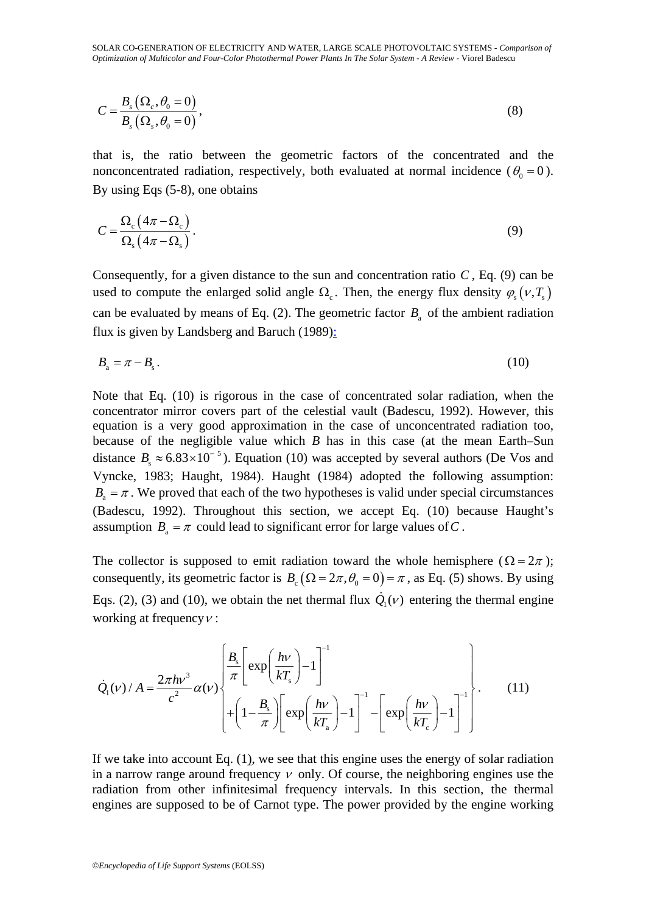SOLAR CO-GENERATION OF ELECTRICITY AND WATER, LARGE SCALE PHOTOVOLTAIC SYSTEMS - *Comparison of Optimization of Multicolor and Four-Color Photothermal Power Plants In The Solar System - A Review* - Viorel Badescu

$$
C = \frac{B_s(\Omega_c, \theta_0 = 0)}{B_s(\Omega_s, \theta_0 = 0)},
$$
\n(8)

that is, the ratio between the geometric factors of the concentrated and the nonconcentrated radiation, respectively, both evaluated at normal incidence ( $\theta_0 = 0$ ). By using Eqs (5-8), one obtains

$$
C = \frac{\Omega_{\rm c} (4\pi - \Omega_{\rm c})}{\Omega_{\rm s} (4\pi - \Omega_{\rm s})}.
$$
\n(9)

Consequently, for a given distance to the sun and concentration ratio  $C$ , Eq. (9) can be used to compute the enlarged solid angle  $\Omega_c$ . Then, the energy flux density  $\varphi_s(\nu, T_s)$ can be evaluated by means of Eq. (2). The geometric factor  $B<sub>a</sub>$  of the ambient radiation flux is given by Landsberg and Baruch (1989):

$$
B_{a} = \pi - B_{s} \,. \tag{10}
$$

Note that Eq. (10) is rigorous in the case of concentrated solar radiation, when the concentrator mirror covers part of the celestial vault (Badescu, 1992). However, this equation is a very good approximation in the case of unconcentrated radiation too, because of the negligible value which *B* has in this case (at the mean Earth–Sun distance  $B_s \approx 6.83 \times 10^{-5}$ ). Equation (10) was accepted by several authors (De Vos and Vyncke, 1983; Haught, 1984). Haught (1984) adopted the following assumption:  $B<sub>a</sub> = \pi$ . We proved that each of the two hypotheses is valid under special circumstances (Badescu, 1992). Throughout this section, we accept Eq. (10) because Haught's assumption  $B_a = \pi$  could lead to significant error for large values of C.

The collector is supposed to emit radiation toward the whole hemisphere ( $\Omega = 2\pi$ ); consequently, its geometric factor is  $B_c (\Omega = 2\pi, \theta_0 = 0) = \pi$ , as Eq. (5) shows. By using Eqs. (2), (3) and (10), we obtain the net thermal flux  $\dot{Q}_1(v)$  entering the thermal engine working at frequency  $v$ :

$$
\dot{Q}_{1}(v) / A = \frac{2\pi h v^{3}}{c^{2}} \alpha(v) \left\{ \frac{B_{s}}{\pi} \left[ \exp\left(\frac{h v}{k T_{s}}\right) - 1 \right]^{-1} - \left[ \exp\left(\frac{h v}{k T_{s}}\right) - 1 \right]^{-1} \left[ \exp\left(\frac{h v}{k T_{c}}\right) - 1 \right]^{-1} \right\}.
$$
\n(11)

If we take into account Eq. (1), we see that this engine uses the energy of solar radiation in a narrow range around frequency  $\nu$  only. Of course, the neighboring engines use the radiation from other infinitesimal frequency intervals. In this section, the thermal engines are supposed to be of Carnot type. The power provided by the engine working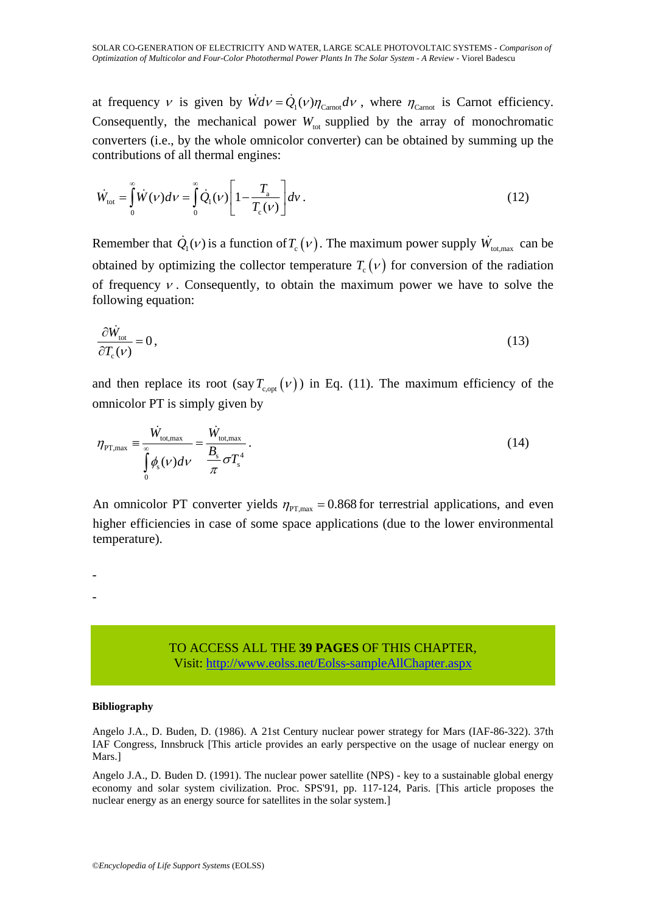at frequency v is given by  $\dot{W}dv = \dot{Q}_1(v)\eta_{\text{Carnot}}dv$ , where  $\eta_{\text{Carnot}}$  is Carnot efficiency. Consequently, the mechanical power  $W_{\text{tot}}$  supplied by the array of monochromatic converters (i.e., by the whole omnicolor converter) can be obtained by summing up the contributions of all thermal engines:

$$
\dot{W}_{\text{tot}} = \int_{0}^{\infty} \dot{W}(\nu) d\nu = \int_{0}^{\infty} \dot{Q}_{1}(\nu) \left[ 1 - \frac{T_{\text{a}}}{T_{\text{c}}(\nu)} \right] dv \,. \tag{12}
$$

Remember that  $\dot{Q}_1(v)$  is a function of  $T_c(v)$ . The maximum power supply  $\dot{W}_{\text{tot,max}}$  can be obtained by optimizing the collector temperature  $T_c(v)$  for conversion of the radiation of frequency  $v$ . Consequently, to obtain the maximum power we have to solve the following equation:

$$
\frac{\partial \dot{W}_{\text{tot}}}{\partial T_{\text{c}}(\nu)} = 0, \tag{13}
$$

and then replace its root (say  $T_{\text{cont}}(v)$ ) in Eq. (11). The maximum efficiency of the omnicolor PT is simply given by

$$
\eta_{\text{PT,max}} \equiv \frac{\dot{W}_{\text{tot,max}}}{\int_{0}^{\infty} \phi_{\text{s}}(\nu) d\nu} = \frac{\dot{W}_{\text{tot,max}}}{\frac{B_{\text{s}}}{\pi} \sigma T_{\text{s}}^{4}}.
$$
\n(14)

An omnicolor PT converter yields  $\eta_{PT,max} = 0.868$  for terrestrial applications, and even higher efficiencies in case of some space applications (due to the lower environmental temperature).

> TO ACCESS ALL THE **39 PAGES** OF THIS CHAPTER, Visit[: http://www.eolss.net/Eolss-sampleAllChapter.aspx](https://www.eolss.net/ebooklib/sc_cart.aspx?File=E6-107-13)

#### **Bibliography**

- -

Angelo J.A., D. Buden, D. (1986). A 21st Century nuclear power strategy for Mars (IAF-86-322). 37th IAF Congress, Innsbruck [This article provides an early perspective on the usage of nuclear energy on Mars.]

Angelo J.A., D. Buden D. (1991). The nuclear power satellite (NPS) - key to a sustainable global energy economy and solar system civilization. Proc. SPS'91, pp. 117-124, Paris. [This article proposes the nuclear energy as an energy source for satellites in the solar system.]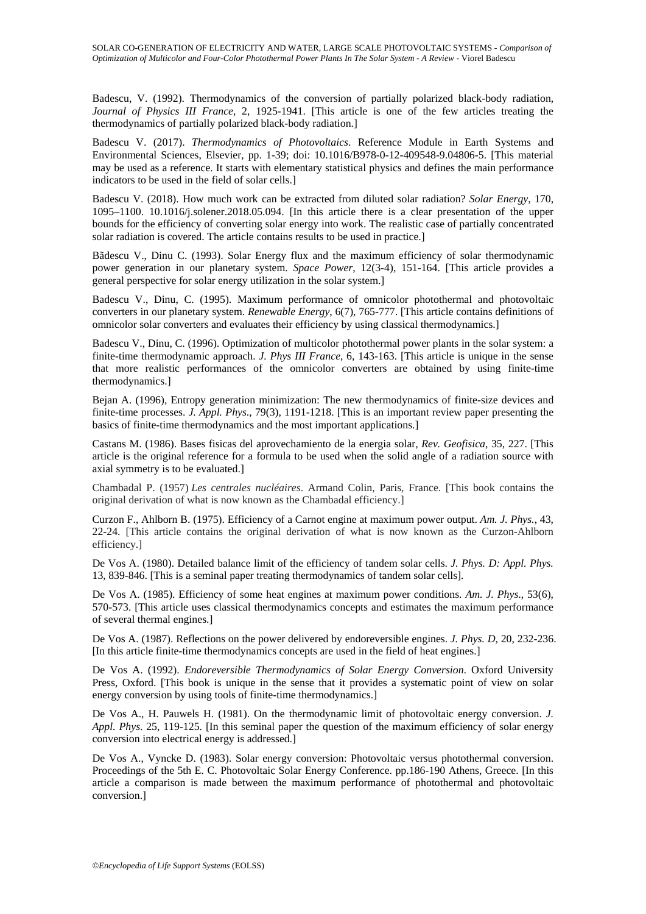Badescu, V. (1992). Thermodynamics of the conversion of partially polarized black-body radiation, *Journal of Physics III France*, 2, 1925-1941. [This article is one of the few articles treating the thermodynamics of partially polarized black-body radiation.]

Badescu V. (2017). *Thermodynamics of Photovoltaics*. Reference Module in Earth Systems and Environmental Sciences, Elsevier, pp. 1-39; doi: 10.1016/B978-0-12-409548-9.04806-5. [This material may be used as a reference. It starts with elementary statistical physics and defines the main performance indicators to be used in the field of solar cells.]

Badescu V. (2018). How much work can be extracted from diluted solar radiation? *Solar Energy*, 170, 1095–1100. 10.1016/j.solener.2018.05.094. [In this article there is a clear presentation of the upper bounds for the efficiency of converting solar energy into work. The realistic case of partially concentrated solar radiation is covered. The article contains results to be used in practice.]

Bãdescu V., Dinu C. (1993). Solar Energy flux and the maximum efficiency of solar thermodynamic power generation in our planetary system. *Space Power*, 12(3-4), 151-164. [This article provides a general perspective for solar energy utilization in the solar system.]

Badescu V., Dinu, C. (1995). Maximum performance of omnicolor photothermal and photovoltaic converters in our planetary system. *Renewable Energy*, 6(7), 765-777. [This article contains definitions of omnicolor solar converters and evaluates their efficiency by using classical thermodynamics.]

Badescu V., Dinu, C. (1996). Optimization of multicolor photothermal power plants in the solar system: a finite-time thermodynamic approach. *J. Phys III France*, 6, 143-163. [This article is unique in the sense that more realistic performances of the omnicolor converters are obtained by using finite-time thermodynamics.]

Bejan A. (1996), Entropy generation minimization: The new thermodynamics of finite-size devices and finite-time processes. *J. Appl. Phys*., 79(3), 1191-1218. [This is an important review paper presenting the basics of finite-time thermodynamics and the most important applications.]

Castans M. (1986). Bases fisicas del aprovechamiento de la energia solar, *Rev. Geofisica*, 35, 227. [This article is the original reference for a formula to be used when the solid angle of a radiation source with axial symmetry is to be evaluated.]

Chambadal P. (1957) *Les centrales nucléaires*. Armand Colin, Paris, France. [This book contains the original derivation of what is now known as the Chambadal efficiency.]

Curzon F., Ahlborn B. (1975). Efficiency of a Carnot engine at maximum power output. *Am. J. Phys.*, 43, 22-24. [This article contains the original derivation of what is now known as the Curzon-Ahlborn efficiency.]

De Vos A. (1980). Detailed balance limit of the efficiency of tandem solar cells. *J. Phys. D: Appl. Phys.*  13, 839-846. [This is a seminal paper treating thermodynamics of tandem solar cells].

De Vos A. (1985). Efficiency of some heat engines at maximum power conditions. *Am. J. Phys*., 53(6), 570-573. [This article uses classical thermodynamics concepts and estimates the maximum performance of several thermal engines.]

De Vos A. (1987). Reflections on the power delivered by endoreversible engines. *J. Phys. D*, 20, 232-236. [In this article finite-time thermodynamics concepts are used in the field of heat engines.]

De Vos A. (1992). *Endoreversible Thermodynamics of Solar Energy Conversion*. Oxford University Press, Oxford. [This book is unique in the sense that it provides a systematic point of view on solar energy conversion by using tools of finite-time thermodynamics.]

De Vos A., H. Pauwels H. (1981). On the thermodynamic limit of photovoltaic energy conversion. *J. Appl. Phys*. 25, 119-125. [In this seminal paper the question of the maximum efficiency of solar energy conversion into electrical energy is addressed.]

De Vos A., Vyncke D. (1983). Solar energy conversion: Photovoltaic versus photothermal conversion. Proceedings of the 5th E. C. Photovoltaic Solar Energy Conference. pp.186-190 Athens, Greece. [In this article a comparison is made between the maximum performance of photothermal and photovoltaic conversion.]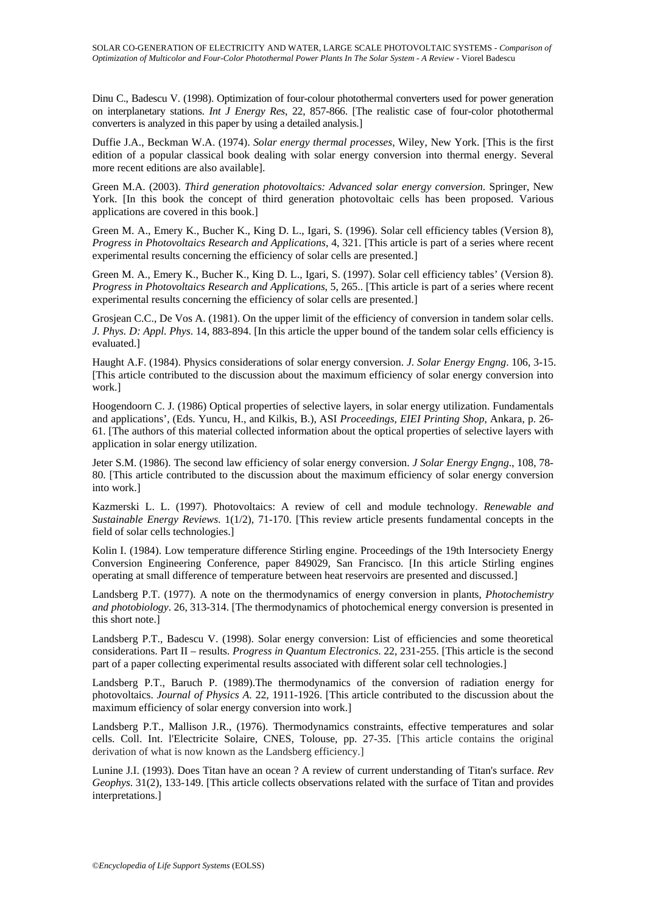Dinu C., Badescu V. (1998). Optimization of four-colour photothermal converters used for power generation on interplanetary stations. *Int J Energy Res*, 22, 857-866. [The realistic case of four-color photothermal converters is analyzed in this paper by using a detailed analysis.]

Duffie J.A., Beckman W.A. (1974). *Solar energy thermal processes*, Wiley, New York. [This is the first edition of a popular classical book dealing with solar energy conversion into thermal energy. Several more recent editions are also available].

Green M.A. (2003). *Third generation photovoltaics: Advanced solar energy conversion*. Springer, New York. [In this book the concept of third generation photovoltaic cells has been proposed. Various applications are covered in this book.]

Green M. A., Emery K., Bucher K., King D. L., Igari, S. (1996). Solar cell efficiency tables (Version 8), *Progress in Photovoltaics Research and Applications*, 4, 321. [This article is part of a series where recent experimental results concerning the efficiency of solar cells are presented.]

Green M. A., Emery K., Bucher K., King D. L., Igari, S. (1997). Solar cell efficiency tables' (Version 8). *Progress in Photovoltaics Research and Applications*, 5, 265.. [This article is part of a series where recent experimental results concerning the efficiency of solar cells are presented.]

Grosjean C.C., De Vos A. (1981). On the upper limit of the efficiency of conversion in tandem solar cells. *J. Phys. D: Appl. Phys*. 14, 883-894. [In this article the upper bound of the tandem solar cells efficiency is evaluated.]

Haught A.F. (1984). Physics considerations of solar energy conversion. *J. Solar Energy Engng*. 106, 3-15. [This article contributed to the discussion about the maximum efficiency of solar energy conversion into work.]

Hoogendoorn C. J. (1986) Optical properties of selective layers, in solar energy utilization. Fundamentals and applications', (Eds. Yuncu, H., and Kilkis, B.), ASI *Proceedings, EIEI Printing Shop*, Ankara, p. 26- 61. [The authors of this material collected information about the optical properties of selective layers with application in solar energy utilization.

Jeter S.M. (1986). The second law efficiency of solar energy conversion. *J Solar Energy Engng*., 108, 78- 80. [This article contributed to the discussion about the maximum efficiency of solar energy conversion into work.]

Kazmerski L. L. (1997). Photovoltaics: A review of cell and module technology. *Renewable and Sustainable Energy Reviews*. 1(1/2), 71-170. [This review article presents fundamental concepts in the field of solar cells technologies.]

Kolin I. (1984). Low temperature difference Stirling engine. Proceedings of the 19th Intersociety Energy Conversion Engineering Conference, paper 849029, San Francisco. [In this article Stirling engines operating at small difference of temperature between heat reservoirs are presented and discussed.]

Landsberg P.T. (1977). A note on the thermodynamics of energy conversion in plants, *Photochemistry and photobiology*. 26, 313-314. [The thermodynamics of photochemical energy conversion is presented in this short note.]

Landsberg P.T., Badescu V. (1998). Solar energy conversion: List of efficiencies and some theoretical considerations. Part II – results. *Progress in Quantum Electronics*. 22, 231-255. [This article is the second part of a paper collecting experimental results associated with different solar cell technologies.]

Landsberg P.T., Baruch P. (1989).The thermodynamics of the conversion of radiation energy for photovoltaics. *Journal of Physics A*. 22, 1911-1926. [This article contributed to the discussion about the maximum efficiency of solar energy conversion into work.]

Landsberg P.T., Mallison J.R., (1976). Thermodynamics constraints, effective temperatures and solar cells. Coll. Int. l'Electricite Solaire, CNES, Tolouse, pp. 27-35. [This article contains the original derivation of what is now known as the Landsberg efficiency.]

Lunine J.I. (1993). Does Titan have an ocean ? A review of current understanding of Titan's surface. *Rev Geophys*. 31(2), 133-149. [This article collects observations related with the surface of Titan and provides interpretations.]